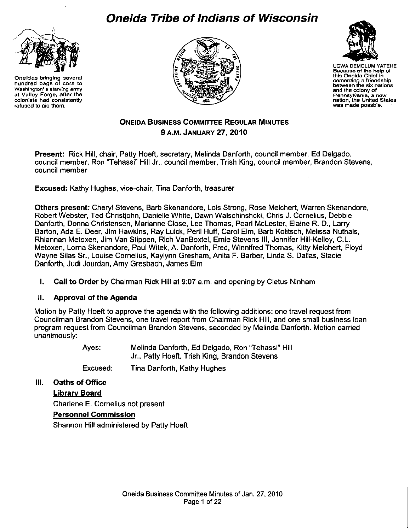# **Oneida Tribe of Indians of Wisconsin**



**Oneidas bringing several hundred bags of corn to Washington' s starving army at Valley Forge, after the colonists had consistently refused to aid them.** 





UGWA DEMOLUMYATEHE **Because of the help of this Oneida Chief in cementing a friendship between tlle six nations and the colony of Pennsylvania, a new**  was made possbie.

## **ONEIDA BUSINESS COMMITTEE REGULAR MINUTES 9 A.M. JANUARY 27,2010**

**Present:** Rick Hill, chair, Patty Hoeft, secretary, Melinda Danforth, council member, Ed Delgado, council member, Ron "Tehassi" Hill Jr., council member, Trish King, council member, Brandon Stevens, council member

**Excused:** Kathy Hughes, vice-chair, Tina Danforth, treasurer

**Others present:** Cheryl Stevens, Barb Skenandore, Lois Strong, Rose Melchert, Warren Skenandore, Robert Webster, Ted Christjohn, Danielle White, Dawn Walschinshcki, Chris J. Cornelius, Debbie Danforth, Donna Christensen, Marianne Close, Lee Thomas, Pearl Mclester, Elaine R. D., Larry Barton, Ada E. Deer, Jim Hawkins, Ray Luick, Peril Huff, Carol Elm, Barb Kolitsch, Melissa Nuthals, Rhiannan Metoxen, Jim Van Stippen, Rich VanBoxtel, Ernie Stevens Ill, Jennifer Hill-Kelley, C.L. Metoxen, Lorna Skenandore, Paul Witek, A. Danforth, Fred, Winnifred Thomas, Kitty Melchert, Floyd Wayne Silas Sr., Louise Cornelius, Kaylynn Gresham, Anita F. Barber, Linda S. Dallas, Stacie Danforth, Judi Jourdan, Amy Gresbach, James Elm

**I. Call to Order** by Chairman Rick Hill at 9:07 a.m. and opening by Cletus Ninham

#### **II. Approval of the Agenda**

Motion by Patty Hoeft to approve the agenda with the following additions: one travel request from Councilman Brandon Stevens, one travel report from Chairman Rick Hill, and one small business loan program request from Councilman Brandon Stevens, seconded by Melinda Danforth. Motion carried unanimously:

> Ayes: Melinda Danforth, Ed Delgado, Ron "Tehassi" Hill Jr., Patty Hoeft, Trish King, Brandon Stevens

Excused: Tina Danforth, Kathy Hughes

**Ill. Oaths of Office** 

**Library Board**  Charlene E. Cornelius not present **Personnel Commission**  Shannon Hill administered by Patty Hoeft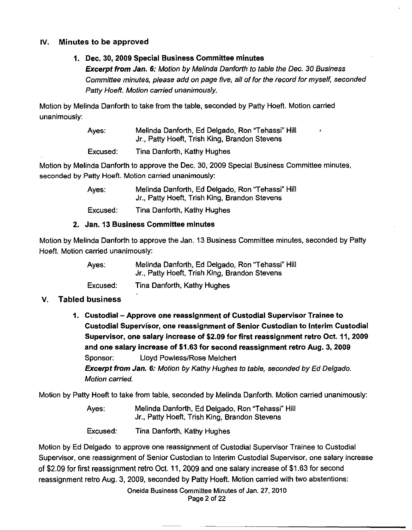## **IV. Minutes to be approved**

## **1. Dec. 30, 2009 Special Business Committee minutes**

**Excerpt from Jan. 6:** Motion by Melinda Danforth to table the Dec. 30 Business Committee minutes, please add on page five, all of for the record for myself, seconded Patty Hoeft. Motion carried unanimously.

Motion by Melinda Danforth to take from the table, seconded by Patty Hoeft. Motion carried unanimously:

| Ayes:    | Melinda Danforth, Ed Delgado, Ron "Tehassi" Hill<br>Jr., Patty Hoeft, Trish King, Brandon Stevens |
|----------|---------------------------------------------------------------------------------------------------|
| Excused: | Tina Danforth, Kathy Hughes                                                                       |

Motion by Melinda Danforth to approve the Dec. 30, 2009 Special Business Committee minutes, seconded by Patty Hoeft. Motion carried unanimously:

> Ayes: Melinda Danforth, Ed Delgado, Ron "Tehassi" Hill Jr., Patty Hoeft, Trish King, Brandon Stevens

Excused: Tina Danforth, Kathy Hughes

#### **2. Jan. 13 Business Committee minutes**

Motion by Melinda Danforth to approve the Jan. 13 Business Committee minutes, seconded by Patty Hoeft. Motion carried unanimously:

> Ayes: Melinda Danforth, Ed Delgado, Ron "Tehassi" Hill Jr., Patty Hoeft, Trish King, Brandon Stevens

Excused: Tina Danforth, Kathy Hughes

## **v. Tabled business**

**1. Custodial -Approve one reassignment of Custodial Supervisor Trainee to Custodial Supervisor, one reassignment of Senior Custodian to Interim Custodial Supervisor, one salary increase of \$2.09 for first reassignment retro Oct. 11, 2009 and one salary increase of \$1.63 for second reassignment retro Aug. 3, 2009**  Sponsor: Lloyd Powless/Rose Melchert **Excerpt from Jan.** *6:* Motion by Kathy Hughes to table, seconded by Ed Delgado. Motion carried.

Motion by Patty Hoeft to take from table, seconded by Melinda Danforth. Motion carried unanimously:

Ayes: Melinda Danforth, Ed Delgado, Ron "Tehassi" Hill Jr., Patty Hoeft, Trish King, Brandon Stevens

Excused: Tina Danforth, Kathy Hughes

Motion by Ed Delgado to approve one reassignment of Custodial Supervisor Trainee to Custodial Supervisor, one reassignment of Senior Custodian to Interim Custodial Supervisor, one salary increase of \$2.09 for first reassignment retro Oct. 11, 2009 and one salary increase of \$1.63 for second reassignment retro Aug. 3, 2009, seconded by Patty Hoeft. Motion carried with two abstentions:

> Oneida Business Committee Minutes of Jan. 27, 2010 Page 2 of 22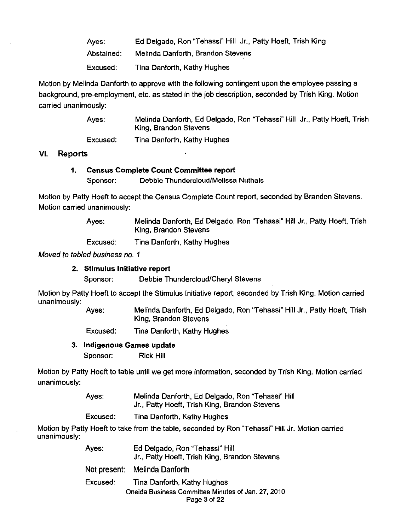Ayes: Abstained: Excused: Ed Delgado, Ron "Tehassi" Hill Jr., Patty Hoeft, Trish King Melinda Danforth, Brandon Stevens Tina Danforth, Kathy Hughes

Motion by Melinda Danforth to approve with the following contingent upon the employee passing a background, pre-employment, etc. as stated in the job description, seconded by Trish King. Motion carried unanimously:

> Ayes: Melinda Danforth, Ed Delgado, Ron "Tehassi" Hill Jr., Patty Hoeft, Trish King, Brandon Stevens

Excused: Tina Danforth, Kathy Hughes

## VI. Reports

#### 1. Census Complete Count Committee report Sponsor: Debbie Thundercloud/Melissa Nuthals

Motion by Patty Hoeft to accept the Census Complete Count report, seconded by Brandon Stevens. Motion carried unanimously:

> Ayes: Melinda Danforth, Ed Delgado, Ron "Tehassi" Hill Jr., Patty Hoeft, Trish King, Brandon Stevens

Excused: Tina Danforth, Kathy Hughes

Moved to tabled business no. 1

#### 2. Stimulus Initiative report

Sponsor: Debbie Thundercloud/Cheryl Stevens

Motion by Patty Hoeft to accept the Stimulus Initiative report, seconded by Trish King. Motion carried unanimously:

Ayes: Melinda Danforth, Ed Delgado, Ron "Tehassi" Hill Jr., Patty Hoeft, Trish King, Brandon Stevens

Excused: Tina Danforth, Kathy Hughes

## 3. Indigenous Games update

Sponsor: Rick Hill

Motion by Patty Hoeft to table until we get more information, seconded by Trish King. Motion carried unanimously:

| Ayes: | Melinda Danforth, Ed Delgado, Ron "Tehassi" Hill |
|-------|--------------------------------------------------|
|       | Jr., Patty Hoeft, Trish King, Brandon Stevens    |

Excused: Tina Danforth, Kathy Hughes

Motion by Patty Hoeft to take from the table, seconded by Ron "Tehassi" Hill Jr. Motion carried unanimously:

| Aves:    | Ed Delgado, Ron "Tehassi" Hill<br>Jr., Patty Hoeft, Trish King, Brandon Stevens |
|----------|---------------------------------------------------------------------------------|
|          | Not present: Melinda Danforth                                                   |
| Excused: | Tina Danforth, Kathy Hughes                                                     |
|          | Oneida Business Committee Minutes of Jan. 27, 2010<br>Page 3 of 22              |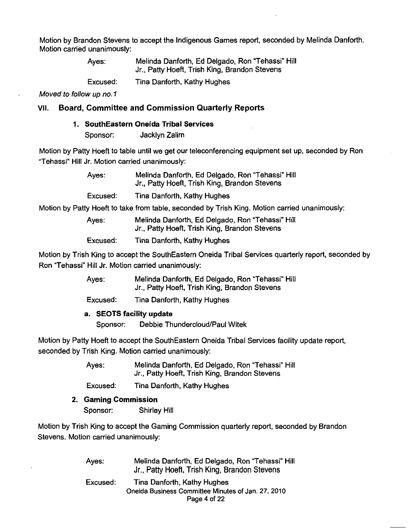Motion by Brandon Stevens to accept the Indigenous Games report, seconded by Melinda Danforth. Motion carried unanimously:

> Ayes: Melinda Danforth, Ed Delgado, Ron "Tehassi" Hill Jr., Patty Hoeft, Trish King, Brandon Stevens

Excused: Tina Danforth, Kathy Hughes

Moved to follow up no. 1

## VII. Board, Committee and Commission Quarterly Reports

#### 1. SouthEastern Oneida Tribal Services

Sponsor: Jacklyn Zalim

Motion by Patty Hoeft to table until we get our teleconferencing equipment set up, seconded by Ron "Tehassi" Hill Jr. Motion carried unanimously:

| Ayes: | Melinda Danforth, Ed Delgado, Ron "Tehassi" Hill<br>Jr., Patty Hoeft, Trish King, Brandon Stevens |  |
|-------|---------------------------------------------------------------------------------------------------|--|
|       |                                                                                                   |  |

Excused: Tina Danforth, Kathy Hughes

Motion by Patty Hoeft to take from table, seconded by Trish King. Motion carried unanimously:

Ayes: Melinda Danforth, Ed Delgado, Ron "Tehassi" Hill Jr., Patty Hoeft, Trish King, Brandon Stevens

Excused: Tina Danforth, Kathy Hughes

Motion by Trish King to accept the SouthEastern Oneida Tribal Services quarterly report, seconded by Ron "Tehassi" Hill Jr. Motion carried unanimously:

> Ayes: Melinda Danforth, Ed Delgado, Ron "Tehassi" Hill Jr., Patty Hoeft, Trish King, Brandon Stevens

Excused: Tina Danforth, Kathy Hughes

#### a. SEOTS facility update

Sponsor: Debbie Thundercloud/Paul Witek

Motion by Patty Hoeft to accept the SouthEastern Oneida Tribal Services facility update report, seconded by Trish King. Motion carried unanimously:

> Ayes: Melinda Danforth, Ed Delgado, Ron "Tehassi" Hill Jr., Patty Hoeft, Trish King, Brandon Stevens

Excused: Tina Danforth, Kathy Hughes

2. Gaming Commission Sponsor: Shirley Hill

Motion by Trish King to accept the Gaming Commission quarterly report, seconded by Brandon Stevens. Motion carried unanimously:

| Ayes:    | Melinda Danforth, Ed Delgado, Ron "Tehassi" Hill<br>Jr., Patty Hoeft, Trish King, Brandon Stevens |
|----------|---------------------------------------------------------------------------------------------------|
| Excused: | Tina Danforth, Kathy Hughes                                                                       |
|          | Oneida Business Committee Minutes of Jan. 27, 2010                                                |
|          | Page 4 of 22                                                                                      |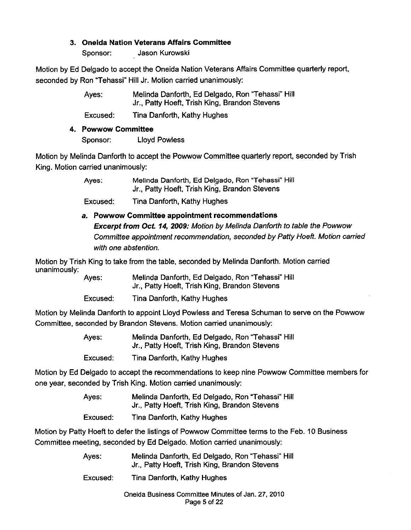## **3. Oneida Nation Veterans Affairs Committee**

Sponsor: Jason Kurowski

Motion by Ed Delgado to accept the Oneida Nation Veterans Affairs Committee quarterly report, seconded by Ron "Tehassi" Hill Jr. Motion carried unanimously:

> Ayes: Melinda Danforth, Ed Delgado, Ron "Tehassi" Hill Jr., Patty Hoeft, Trish King, Brandon Stevens

Excused: Tina Danforth, Kathy Hughes

**4. Powwow Committee** 

Sponsor: Lloyd Powless

Motion by Melinda Danforth to accept the Powwow Committee quarterly report, seconded by Trish King. Motion carried unanimously:

> Ayes: Melinda Danforth, Ed Delgado, Ron "Tehassi" Hill Jr., Patty Hoeft, Trish King, Brandon Stevens

Excused: Tina Danforth, Kathy Hughes

**a. Powwow Committee appointment recommendations Excerpt from Oct. 14, 2009:** Motion by Melinda Danforth to table the Powwow Committee appointment recommendation, seconded by Patty Hoeft. Motion carried with one abstention.

Motion by Trish King to take from the table, seconded by Melinda Danforth. Motion carried unanimously:

Ayes: Melinda Danforth, Ed Delgado, Ron "Tehassi" Hill Jr., Patty Hoeft, Trish King, Brandon Stevens

Excused: Tina Danforth, Kathy Hughes

Motion by Melinda Danforth to appoint Lloyd Powless and Teresa Schuman to serve on the Powwow Committee, seconded by Brandon Stevens. Motion carried unanimously:

| Ayes:    | Melinda Danforth, Ed Delgado, Ron "Tehassi" Hill<br>Jr., Patty Hoeft, Trish King, Brandon Stevens |
|----------|---------------------------------------------------------------------------------------------------|
| Excused: | Tina Danforth, Kathy Hughes                                                                       |

Motion by Ed Delgado to accept the recommendations to keep nine Powwow Committee members for one year, seconded by Trish King. Motion carried unanimously:

| Ayes:    | Melinda Danforth, Ed Delgado, Ron "Tehassi" Hill |
|----------|--------------------------------------------------|
|          | Jr., Patty Hoeft, Trish King, Brandon Stevens    |
| Excused: | Tina Danforth, Kathy Hughes                      |

Motion by Patty Hoeft to defer the listings of Powwow Committee terms to the Feb. 10 Business Committee meeting, seconded by Ed Delgado. Motion carried unanimously:

| Ayes: | Melinda Danforth, Ed Delgado, Ron "Tehassi" Hill |
|-------|--------------------------------------------------|
|       | Jr., Patty Hoeft, Trish King, Brandon Stevens    |

Excused: Tina Danforth, Kathy Hughes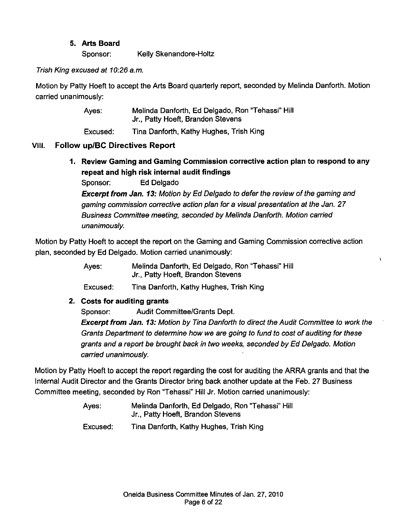## **5. Arts Board**

Sponsor: Kelly Skenandore-Holtz

#### Trish King excused at 10:26 a.m.

Motion by Patty Hoeft to accept the Arts Board quarterly report, seconded by Melinda Danforth. Motion carried unanimously:

| Ayes: | Melinda Danforth, Ed Delgado, Ron "Tehassi" Hill |
|-------|--------------------------------------------------|
|       | Jr., Patty Hoeft, Brandon Stevens                |

Excused: Tina Danforth, Kathy Hughes, Trish King

## VIII. **Follow upiBC Directives Report**

**1. Review Gaming and Gaming Commission corrective action plan to respond to any repeat and high risk internal audit findings** 

Sponsor: Ed Delgado

**Excerpt from Jan. 13:** Motion by Ed Delgado to defer the review of the gaming and gaming commission corrective action plan for a visual presentation at the Jan. 27 Business Committee meeting, seconded by Melinda Danforth. Motion carried unanimously.

Motion by Patty Hoeft to accept the report on the Gaming and Gaming Commission corrective action plan, seconded by Ed Delgado. Motion carried unanimously:

> Ayes: Melinda Danforth, Ed Delgado, Ron "Tehassi" Hill Jr., Patty Hoeft, Brandon Stevens

Excused: Tina Danforth, Kathy Hughes, Trish King

## **2. Costs for auditing grants**

Sponsor: Audit Committee/Grants Dept.

**Excerpt from Jan. 13:** Motion by Tina Danforth to direct the Audit Committee to work the Grants Department to determine how we are going to fund to cost of auditing for these grants and a report be brought back in two weeks, seconded by Ed Delgado. Motion carried unanimously.

 $\mathbf{r}$ 

Motion by Patty Hoeft to accept the report regarding the cost for auditing the ARRA grants and that the Internal Audit Director and the Grants Director bring back another update at the Feb. 27 Business Committee meeting, seconded by Ron "Tehassi" Hill Jr. Motion carried unanimously:

- Ayes: Melinda Danforth, Ed Delgado, Ron "Tehassi" Hill Jr., Patty Hoeft, Brandon Stevens
- Excused: Tina Danforth, Kathy Hughes, Trish King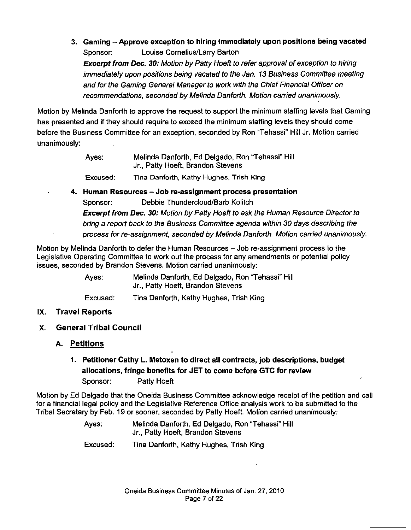**3. Gaming -Approve exception to hiring immediately upon positions being vacated**  Sponsor: Louise Cornelius/Larry Barton **Excerpt from Dec. 30:** Motion by Patty Hoeft to refer approval of exception to hiring immediately upon positions being vacated to the Jan. 13 Business Committee meeting and for the Gaming General Manager to work with the Chief Financial Officer on recommendations, seconded by Melinda Danforth. Motion carried unanimously.

Motion by Melinda Danforth to approve the request to support the minimum staffing levels that Gaming has presented and if they should require to exceed the minimum staffing levels they should come before the Business Committee for an exception, seconded by Ron "Tehassi" Hill Jr. Motion carried unanimously:

| Ayes: | Melinda Danforth, Ed Delgado, Ron "Tehassi" Hill<br>Jr., Patty Hoeft, Brandon Stevens |
|-------|---------------------------------------------------------------------------------------|
|       |                                                                                       |

Excused: Tina Danforth, Kathy Hughes. Trish King

**4. Human Resources - Job re-assignment process presentation**  Sponsor: Debbie Thundercloud/Barb Kolitch **Excerpt from Dec. 30:** Motion by Patty Hoeft to ask the Human Resource Director to bring a report back to the Business Committee agenda within 30 days describing the

process for re-assignment, seconded by Melinda Danforth. Motion carried unanimously.

Motion by Melinda Danforth to defer the Human Resources - Job re-assignment process to the Legislative Operating Committee to work out the process for any amendments or potential policy issues, seconded by Brandon Stevens. Motion carried unanimously:

> Ayes: Melinda Danforth, Ed Delgado, Ron "Tehassi" Hill Jr., Patty Hoeft, Brandon Stevens

Excused: Tina Danforth, Kathy Hughes, Trish King

- IX. **Travel Reports**
- **X. General Tribal Council** 
	- **A. Petitions**

# **1. Petitioner Cathy L. Metoxen to direct all contracts, job descriptions, budget allocations, fringe benefits for JET to come before GTC for review**  Sponsor: Patty Hoeft

Motion by Ed Delgado that the Oneida Business Committee acknowledge receipt of the petition and call for a financial legal policy and the Legislative Reference Office analysis work to be submitted to the Tribal Secretary by Feb. 19 or sooner, seconded by Patty Hoeft. Motion carried unanimously:

> Ayes: Melinda Danforth, Ed Delgado, Ron "Tehassi" Hill Jr., Patty Hoeft, Brandon Stevens

Excused: Tina Danforth, Kathy Hughes, Trish King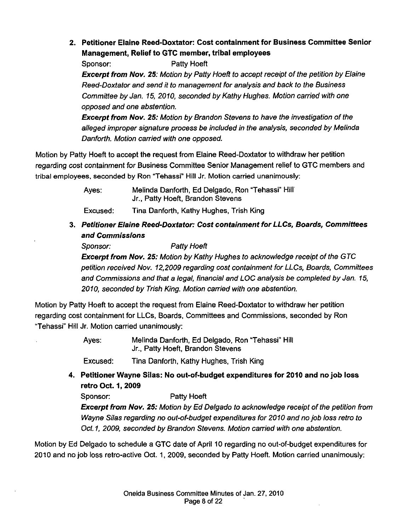**2. Petitioner Elaine Reed-Doxtator: Cost containment for Business Committee Senior Management, Relief to GTC member, tribal employees** 

Sponsor: Patty Hoeft **Excerpt from Nov. 25:** Motion by Patty Hoeft to accept receipt of the petition by Elaine Reed-Doxtator and send it to management for analysis and back to the Business Committee by Jan. 15, 2010, seconded by Kathy Hughes. Motion carried with one opposed and one abstention.

**Excerpt from Nov. 25:** Motion by Brandon Stevens to have the investigation of the alleged improper signature process be included in the analysis, seconded by Melinda Danforth. Motion carried with one opposed.

Motion by Patty Hoeft to accept the request from Elaine Reed-Doxtator to withdraw her petition regarding cost containment for Business Committee Senior Management relief to GTC members and tribal employees. seconded by Ron "Tehassi"' Hill Jr. Motion carried unanimously:

> Ayes: Melinda Danforth, Ed Delgado, Ron "Tehassi" Hill Jr., Patty Hoeft, Brandon Stevens

Excused: Tina Danforth, Kathy Hughes, Trish King

**3. Petitioner Elaine Reed-Doxtator: Cost containment for LLCs, Boards, Committees and Commissions** 

Sponsor: Patty Hoeft **Excerpt from Nov. 25:** Motion by Kathy Hughes to acknowledge receipt of the GTC petition received Nov. 12,2009 regarding cost containment for LLCs, Boards, Committees and Commissions and that a legal, financial and LOG analysis be completed by Jan. 15, 2010, seconded by Trish King. Motion carried with one abstention.

Motion by Patty Hoeft to accept the request from Elaine Reed-Doxtator to withdraw her petition regarding cost containment for LLCs, Boards, Committees and Commissions, seconded by Ron "Tehassi"' Hill Jr. Motion carried unanimously:

> Ayes: Melinda Danforth, Ed Delgado, Ron "Tehassi" Hill Jr., Patty Hoeft, Brandon Stevens

Excused: Tina Danforth, Kathy Hughes, Trish King

**4. Petitioner Wayne Silas: No out-of-budget expenditures for 2010 and no job loss retro Oct. 1 , 2009** 

Sponsor: Patty Hoeft

**Excerpt from Nov. 25:** Motion by Ed Delgado to acknowledge receipt of the petition from Wayne Silas regarding no out-of-budget expenditures for 2010 and no job loss retro to Oct.1, 2009, seconded by Brandon Stevens. Motion carried with one abstention.

Motion by Ed Delgado to schedule a GTC date of April 10 regarding no out-of-budget expenditures for 2010 and no job loss retro-active Oct. 1, 2009, seconded by Patty Hoeft. Motion carried unanimously: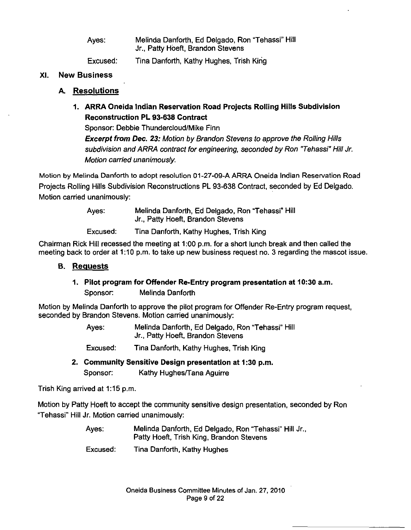| Ayes:    | Melinda Danforth, Ed Delgado, Ron "Tehassi" Hill<br>Jr., Patty Hoeft, Brandon Stevens |
|----------|---------------------------------------------------------------------------------------|
| Excused. | Tina Danforth, Kathy Hughes, Trish King                                               |

#### **XI. New Business**

#### **A. Resolutions**

**1. ARRA Oneida Indian Reservation Road Projects Rolling Hills Subdivision Reconstruction PL 93-638 Contract** 

Sponsor: Debbie Thundercloud/Mike Finn

**Excerpt from Dec. 23:** Motion by Brandon Stevens to approve the Rolling Hills subdivision and ARRA contract for engineering, seconded by Ron "Tehassi" Hill Jr. Motion carried unanimously.

Motion by Melinda Danforth to adopt resolution 01-27-09-A ARRA Oneida Indian Reservation Road Projects Rolling Hills Subdivision Reconstructions **PL** 93-638 Contract, seconded by Ed Delgado. Motion carried unanimously:

| Ayes:    | Melinda Danforth, Ed Delgado, Ron "Tehassi" Hill<br>Jr., Patty Hoeft, Brandon Stevens |
|----------|---------------------------------------------------------------------------------------|
| Excused: | Tina Danforth, Kathy Hughes, Trish King                                               |

Chairman Rick Hill recessed the meeting at 1:00 p.m. for a short lunch break and then called the meeting back to order at 1:10 p.m. to take up new business request no. 3 regarding the mascot issue.

#### **B. Requests**

#### **1. Pilot program for Offender Re-Entry program presentation at 10:30 a.m.**

Sponsor: Melinda Danforth

Motion by Melinda Danforth to approve the pilot program for Offender Re-Entry program request, seconded by Brandon Stevens. Motion carried unanimously:

> Ayes: Melinda Danforth, Ed Delgado, Ron "Tehassi" Hill Jr., Patty Hoeft, Brandon Stevens

Excused: Tina Danforth, Kathy Hughes, Trish King

**2. Community Sensitive Design presentation at 1:30 p.m.**  Sponsor: Kathy Hughes/Tana Aguirre

Trish King arrived at  $1:15$  p.m.

Motion by Patty Hoeft to accept the community sensitive design presentation, seconded by Ron "Tehassi" Hill Jr. Motion carried unanimously:

> Ayes: Melinda Danforth, Ed Delgado, Ron "Tehassi" Hill Jr., Patty Hoeft, Trish King, Brandon Stevens

Excused: Tina Danforth, Kathy Hughes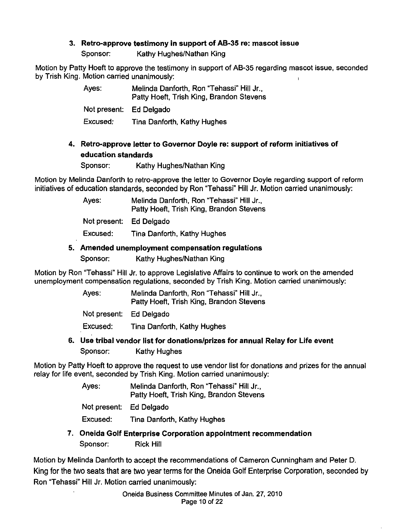## 3. Retro-approve testimony in support of AB-35 re: mascot issue

Sponsor: Kathy Hughes/Nathan King

Motion by Patty Hoeft to approve the testimony in support of AB-35 regarding mascot issue, seconded by Trish King. Motion carried unanimously:

| Ayes:                   | Melinda Danforth, Ron "Tehassi" Hill Jr.,<br>Patty Hoeft, Trish King, Brandon Stevens |
|-------------------------|---------------------------------------------------------------------------------------|
| Not present: Ed Delgado |                                                                                       |
| Excused:                | Tina Danforth, Kathy Hughes                                                           |

## 4. Retro-approve letter to Governor Doyle re: support of reform initiatives of education standards

Sponsor: Kathy Hughes/Nathan King

Motion by Melinda Danforth to retro-approve the letter to Governor Doyle regarding support of reform initiatives of education standards, seconded by Ron "Tehassi" Hill Jr. Motion carried unanimously:

> Ayes: Melinda Danforth, Ron "Tehassi" Hill Jr., Patty Hoeft, Trish King, Brandon Stevens Not present: Ed Delgado Excused: Tina Danforth, Kathy Hughes

## 5. Amended unemployment compensation regulations

Sponsor: Kathy Hughes/Nathan King

Motion by Ron "Tehassi" Hill Jr. to approve Legislative Affairs to continue to work on the amended unemployment compensation regulations, seconded by Trish King. Motion carried unanimously:

| Ayes:                   | Melinda Danforth, Ron "Tehassi" Hill Jr.,<br>Patty Hoeft, Trish King, Brandon Stevens |
|-------------------------|---------------------------------------------------------------------------------------|
| Not present: Ed Delgado |                                                                                       |
| Excused:                | Tina Danforth, Kathy Hughes                                                           |

6. Use tribal vendor list for donations/prizes for annual Relay for Life event Sponsor: Kathy Hughes

Motion by Patty Hoeft to approve the request to use vendor list for donations and prizes for the annual relay for life event, seconded by Trish King. Motion carried unanimously:

- Ayes: Melinda Danforth, Ron "Tehassi" Hill Jr., Patty Hoeft, Trish King, Brandon Stevens
- Not present: Ed Delgado

Excused: Tina Danforth, Kathy Hughes

7. Oneida Golf Enterprise Corporation appointment recommendation Sponsor: Rick Hill

Motion by Melinda Danforth to accept the recommendations of Cameron Cunningham and Peter D. King for the two seats that are two year terms for the Oneida Golf Enterprise Corporation, seconded by Ron "Tehassi" Hill Jr. Motion carried unanimously: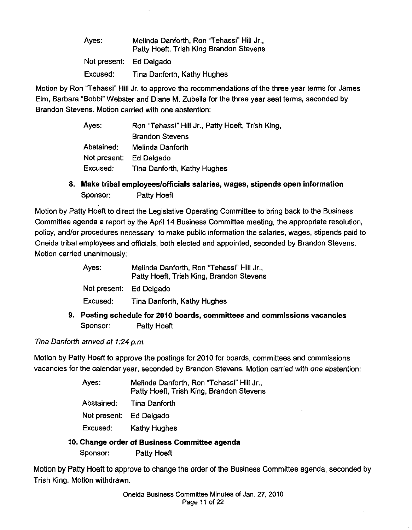| Ayes:                   | Melinda Danforth, Ron "Tehassi" Hill Jr.,<br>Patty Hoeft, Trish King Brandon Stevens |
|-------------------------|--------------------------------------------------------------------------------------|
| Not present: Ed Delgado |                                                                                      |
| Excused:                | Tina Danforth, Kathy Hughes                                                          |

Motion by Ron "Tehassi" Hill Jr. to approve the recommendations of the three year terms for James Elm, Barbara "Bobbi" Webster and Diane M. Zubella for the three year seat terms, seconded by Brandon Stevens. Motion carried with one abstention:

| Ayes:                   | Ron "Tehassi" Hill Jr., Patty Hoeft, Trish King, |
|-------------------------|--------------------------------------------------|
|                         | <b>Brandon Stevens</b>                           |
| Abstained:              | Melinda Danforth                                 |
| Not present: Ed Delgado |                                                  |
| Excused:                | Tina Danforth, Kathy Hughes                      |

**8. Make tribal employees/officials salaries, wages, stipends open information**  Sponsor: Patty Hoeft

Motion by Patty Hoeft to direct the Legislative Operating Committee to bring back to the Business Committee agenda a report by the April 14 Business Committee meeting, the appropriate resolution, policy, and/or procedures necessary to make public information the salaries, wages, stipends paid to Oneida tribal employees and officials, both elected and appointed, seconded by Brandon Stevens. Motion carried unanimously:

|                         | 9. Posting schedule for 2010 boards, committees and commissions vacancies             |
|-------------------------|---------------------------------------------------------------------------------------|
| Excused:                | Tina Danforth, Kathy Hughes                                                           |
| Not present: Ed Delgado |                                                                                       |
| Ayes:                   | Melinda Danforth, Ron "Tehassi" Hill Jr.,<br>Patty Hoeft, Trish King, Brandon Stevens |

Sponsor: Patty Hoeft

Tina Danforth arrived at 1:24 p.m.

 $\mathbb{Z}^2$ 

Motion by Patty Hoeft to approve the postings for 2010 for boards, committees and commissions vacancies for the calendar year, seconded by Brandon Stevens. Motion carried with one abstention:

| Ayes:                   | Melinda Danforth, Ron "Tehassi" Hill Jr.,<br>Patty Hoeft, Trish King, Brandon Stevens |
|-------------------------|---------------------------------------------------------------------------------------|
| Abstained:              | Tina Danforth                                                                         |
| Not present: Ed Delgado |                                                                                       |
| Excused:                | <b>Kathy Hughes</b>                                                                   |

## **10. Change order of Business Committee agenda**

Sponsor: Patty Hoeft

Motion by Patty Hoeft to approve to change the order of the Business Committee agenda, seconded by Trish King. Motion withdrawn.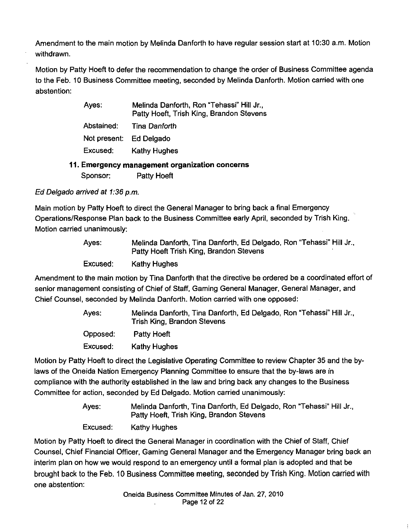Amendment to the main motion by Melinda Danforth to have regular session start at 10:30 a.m. Motion withdrawn.

Motion by Patty Hoeft to defer the recommendation to change the order of Business Committee agenda to the Feb. 10 Business Committee meeting, seconded by Melinda Danforth. Motion carried with one abstention:

| Ayes:        | Melinda Danforth, Ron "Tehassi" Hill Jr.,<br>Patty Hoeft, Trish King, Brandon Stevens |
|--------------|---------------------------------------------------------------------------------------|
| Abstained:   | Tina Danforth                                                                         |
| Not present: | <b>Ed Delgado</b>                                                                     |
| Excused:     | <b>Kathy Hughes</b>                                                                   |
|              | 11. Emergency management organization concerns                                        |
| Sponsor:     | <b>Patty Hoeft</b>                                                                    |

Ed Delgado arrived at 1:36 p.m.

Main motion by Patty Hoeft to direct the General Manager to bring back a final Emergency Operations/Response Plan back to the Business Committee early April, seconded by Trish King. Motion carried unanimously:

| Ayes:    | Melinda Danforth, Tina Danforth, Ed Delgado, Ron "Tehassi" Hill Jr.,<br>Patty Hoeft Trish King, Brandon Stevens |
|----------|-----------------------------------------------------------------------------------------------------------------|
| Excused: | Kathy Hughes                                                                                                    |

Amendment to the main motion by Tina Danforth that the directive be ordered be a coordinated effort of senior management consisting of Chief of Staff, Gaming General Manager, General Manager, and Chief Counsel, seconded by Melinda Danforth. Motion carried with one opposed:

| Ayes:    | Melinda Danforth, Tina Danforth, Ed Delgado, Ron "Tehassi" Hill Jr.,<br>Trish King, Brandon Stevens |
|----------|-----------------------------------------------------------------------------------------------------|
| Opposed: | Patty Hoeft                                                                                         |
| Excused: | Kathy Hughes                                                                                        |

Motion by Patty Hoeft to direct the Legislative Operating Committee to review Chapter 35 and the bylaws of the Oneida Nation Emergency Planning Committee to ensure that the by-laws are in compliance with the authority established in the law and bring back any changes to the Business Committee for action, seconded by Ed Delgado. Motion carried unanimously:

> Ayes: Melinda Danforth, Tina Danforth, Ed Delgado, Ron "Tehassi" Hill Jr., Patty Hoeft, Trish King, Brandon Stevens

Excused: Kathy Hughes

Motion by Patty Hoeft to direct the General Manager in coordination with the Chief of Staff, Chief Counsel, Chief Financial Officer, Gaming General Manager and the Emergency Manager bring back an interim plan on how we would respond to an emergency until a formal plan is adopted and that be brought back to the Feb. 10 Business Committee meeting, seconded by Trish King. Motion carried with one abstention: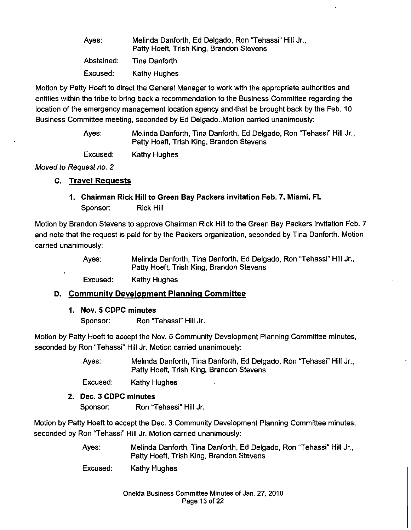| Ayes:      | Melinda Danforth, Ed Delgado, Ron "Tehassi" Hill Jr.,<br>Patty Hoeft, Trish King, Brandon Stevens |
|------------|---------------------------------------------------------------------------------------------------|
| Abstained: | Tina Danforth                                                                                     |
| Excused:   | <b>Kathy Hughes</b>                                                                               |

Motion by Patty Hoeft to direct the General Manager to work with the appropriate authorities and entities within the tribe to bring back a recommendation to the Business Committee regarding the location of the emergency management location agency and ·that be brought back by the Feb. 10 Business Committee meeting, seconded by Ed Delgado .. Motion carried unanimously:

> Ayes: Melinda Danforth, Tina Danforth, Ed Delgado, Ron "Tehassi" Hill Jr., Patty Hoeft, Trish King, Brandon Stevens

Excused: Kathy Hughes

Moved to Request no. 2

## **c. Travel Requests**

**1. Chairman Rick Hill to Green Bay Packers invitation Feb. 7, Miami, FL**  Sponsor: Rick Hill

Motion by Brandon Stevens to approve Chairman Rick Hill to the Green Bay Packers invitation Feb. 7 and note that the request is paid for by the Packers organization, seconded by Tina Danforth. Motion carried unanimously:

> Ayes: Melinda Danforth, Tina Danforth, Ed Delgado, Ron "Tehassi" Hill Jr., Patty Hoeft, Trish King, Brandon Stevens

Excused: Kathy Hughes

## **D. Community Development Planning Committee**

#### **1. Nov. 5 CDPC minutes**

Sponsor: Ron "Tehassi" Hill Jr.

Motion by Patty Hoeft to accept the Nov. 5 Community Development Planning Committee minutes, seconded by Ron "Tehassi" Hill Jr. Motion carried unanimously:

> Ayes: Melinda Danforth, Tina Danforth, Ed Delgado, Ron "Tehassi" Hill Jr., Patty Hoeft, Trish King, Brandon Stevens

Excused: Kathy Hughes

## **2. Dec. 3 CDPC minutes**

Sponsor: Ron "Tehassi" Hill Jr.

Motion by Patty Hoeft to accept the Dec. 3 Community Development Planning Committee minutes, seconded by Ron "Tehassi" Hill Jr. Motion carried unanimously:

> Ayes: Melinda Danforth, Tina Danforth, Ed Delgado, Ron "Tehassi" Hill Jr., Patty Hoeft, Trish King, Brandon Stevens

Excused: Kathy Hughes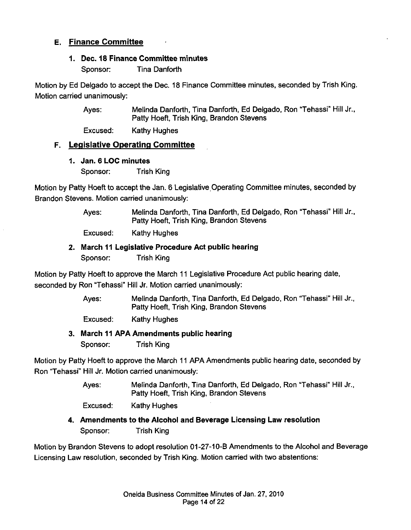## **E. Finance Committee**

## **1. Dec. 18 Finance Committee minutes**

Sponsor: Tina Danforth

Motion by Ed Delgado to accept the Dec. 18 Finance Committee minutes, seconded by Trish King. Motion carried unanimously:

> Ayes: Melinda Danforth, Tina Danforth, Ed Delgado, Ron "Tehassi" Hill Jr., Patty Hoeft, Trish King, Brandon Stevens

Excused: Kathy Hughes

## **F. Legislative Operating Committee**

**1. Jan. 6 LOC minutes** 

Sponsor: Trish King

Motion by Patty Hoeft to accept the Jan. 6 Legislative Operating Committee minutes, seconded by Brandon Stevens. Motion carried unanimously:

> Ayes: Melinda Danforth, Tina Danforth, Ed Delgado, Ron "Tehassi" Hill Jr., Patty Hoeft, Trish King, Brandon Stevens

Excused: Kathy Hughes

## **2. March 11 Legislative Procedure Act public hearing**

Sponsor: Trish King

Motion by Patty Hoeft to approve the March 11 Legislative Procedure Act public hearing date, seconded by Ron "Tehassi" Hill Jr. Motion carried unanimously:

> Ayes: Melinda Danforth, Tina Danforth, Ed Delgado, Ron "Tehassi" Hill Jr., Patty Hoeft, Trish King, Brandon Stevens

Excused: Kathy Hughes

#### **3. March 11 APA Amendments public hearing**

Sponsor: Trish King

Motion by Patty Hoeft to approve the March 11 APA Amendments public hearing date, seconded by Ron "Tehassi" Hill Jr. Motion carried unanimously:

> Ayes: Melinda Danforth, Tina Danforth, Ed Delgado, Ron "Tehassi" Hill Jr., Patty Hoeft, Trish King, Brandon Stevens

Excused: Kathy Hughes

## **4. Amendments to the Alcohol and Beverage Licensing Law resolution**

Sponsor: Trish King

Motion by Brandon Stevens to adopt resolution 01-27-10-B Amendments to the Alcohol and Beverage Licensing Law resolution, seconded by Trish King. Motion carried with two abstentions: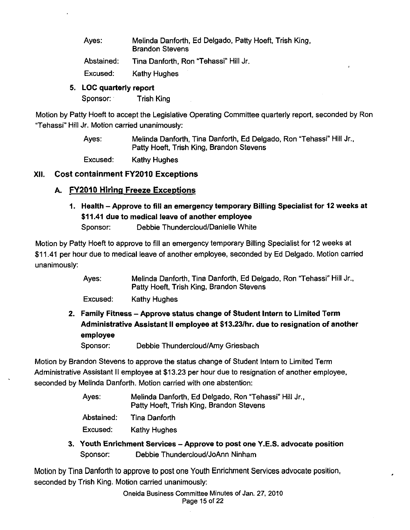Ayes: Melinda Danforth, Ed Delgado, Patty Hoeft, Trish King, Brandon Stevens

Abstained: Tina Danforth, Ron "Tehassi" Hill Jr.

Excused: Kathy Hughes

## **5. LOC quarterly report**

Sponsor: Trish King

Motion by Patty Hoeft to accept the Legislative Operating Committee quarterly report, seconded by Ron "Tehassi" Hill Jr. Motion carried unanimously:

> Ayes: Melinda Danforth, Tina Danforth, Ed Delgado, Ron "Tehassi" Hill Jr., Patty Hoeft, Trish King, Brandon Stevens

Excused: Kathy Hughes

## **XII. Cost containment FY2010 Exceptions**

# **A. FY2010 Hiring Freeze Exceptions**

**1. Health- Approve to fill an emergency temporary Billing Specialist for 12 weeks at \$11.41 due to medical leave of another employee** 

Sponsor: Debbie Thundercloud/Danielle White

Motion by Patty Hoeft to approve to fill an emergency temporary Billing Specialist for 12 weeks at \$11.41 per hour due to medical leave of another employee, seconded by Ed Delgado. Motion carried unanimously:

> Ayes: Melinda Danforth, Tina Danforth, Ed Delgado, Ron "Tehassi" Hill Jr., Patty Hoeft, Trish King, Brandon Stevens

Excused: Kathy Hughes

**2. Family Fitness- Approve status change of Student Intern to Limited Term Administrative Assistant II employee at \$13.23/hr. due to resignation of another employee** 

Sponsor: Debbie Thundercloud/Amy Griesbach

Motion by Brandon Stevens to approve the status change of Student Intern to Limited Term Administrative Assistant II employee at \$13.23 per hour due to resignation of another employee, seconded by Melinda Danforth. Motion carried with one abstention:

> Ayes: Melinda Danforth, Ed Delgado, Ron "Tehassi" Hill Jr., Patty Hoeft, Trish King. Brandon Stevens

Abstained: Tina Danforth

Excused: Kathy Hughes

**3. Youth Enrichment Services- Approve to post one Y.E.S. advocate position**  Sponsor: Debbie Thundercloud/JoAnn Ninham

Motion by Tina Danforth to approve to post one Youth Enrichment Services advocate position, seconded by Trish King. Motion carried unanimously: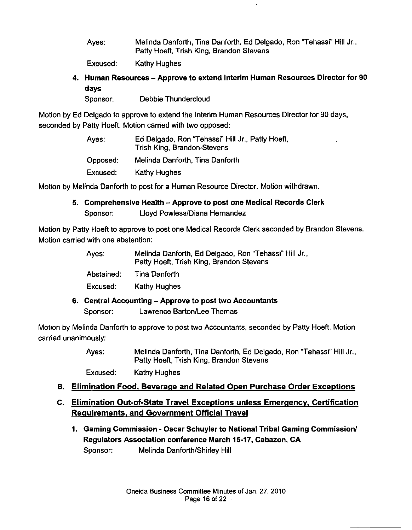Ayes: Melinda Danforth, Tina Danforth, Ed Delgado, Ron "Tehassi" Hill Jr., Patty Hoeft, Trish King, Brandon Stevens

Excused: Kathy Hughes

4. Human Resources- Approve to extend Interim Human Resources Director for 90 days

Sponsor: Debbie Thundercloud

Motion by Ed Delgado to approve to extend the Interim Human Resources Director for 90 days, seconded by Patty Hoeft. Motion carried with two opposed:

| Ayes:    | Ed Delgado, Ron "Tehassi" Hill Jr., Patty Hoeft,<br>Trish King, Brandon Stevens |
|----------|---------------------------------------------------------------------------------|
| Opposed: | Melinda Danforth, Tina Danforth                                                 |
| Excused: | Kathy Hughes                                                                    |

Motion by Melinda Danforth to post for a Human Resource Director. Motion withdrawn.

5. Comprehensive Health - Approve to post one Medical Records Clerk Sponsor: Lloyd Powless/Diana Hernandez

Motion by Patty Hoeft to approve to post one Medical Records Clerk seconded by Brandon Stevens. Motion carried with one abstention:

| Ayes: | Melinda Danforth, Ed Delgado, Ron "Tehassi" Hill Jr.,<br>Patty Hoeft, Trish King, Brandon Stevens |
|-------|---------------------------------------------------------------------------------------------------|
|       |                                                                                                   |

Abstained: Tina Danforth

Excused: Kathy Hughes

6. Central Accounting -Approve to post two Accountants Sponsor: Lawrence Barton/Lee Thomas

Motion by Melinda Danforth to approve to post two Accountants, seconded by Patty Hoeft. Motion carried unanimously:

> Ayes: Melinda Danforth, Tina Danforth, Ed Delgado, Ron "Tehassi" Hill Jr., Patty Hoeft, Trish King, Brandon Stevens

Excused: Kathy Hughes

# B. Elimination Food. Beverage and Related Open Purchase Order Exceptions

# C. Elimination Out-of-State Travel Exceptions unless Emergency, Certification Requirements, and Government Official Travel

1. Gaming Commission- Oscar Schuyler to National Tribal Gaming Commission/ Regulators Association conference March 15-17, Cabazon, CA Sponsor: Melinda Danforth/Shirley Hill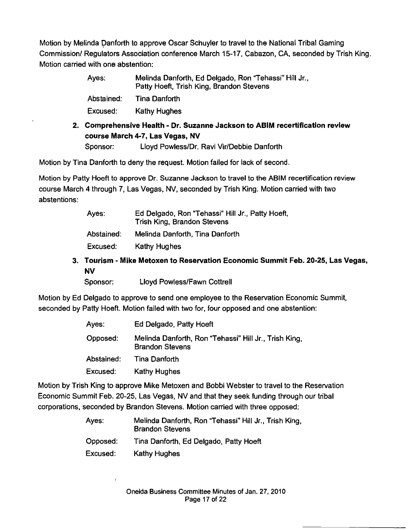Motion by Melinda Danforth to approve Oscar Schuyler to travel to the National Tribal Gaming Commission/ Regulators Association conference March 15-17, Cabazon, CA. seconded by Trish King. Motion carried with one abstention:

| Ayes:      | Melinda Danforth, Ed Delgado, Ron "Tehassi" Hill Jr.,<br>Patty Hoeft, Trish King, Brandon Stevens |
|------------|---------------------------------------------------------------------------------------------------|
| Abstained: | <b>Tina Danforth</b>                                                                              |
| Excused:   | Kathy Hughes                                                                                      |
| -          |                                                                                                   |

**2. Comprehensive Health - Dr. Suzanne Jackson to ABIM recertification review course March 4-7, Las Vegas, NV**  Sponsor: Lloyd Powless/Dr. Ravi Vir/Debbie Danforth

Motion by Tina Danforth to deny the request. Motion failed for lack of second.

Motion by Patty Hoeft to approve Dr. Suzanne Jackson to travel to the ABIM recertification review course March 4 through 7, Las Vegas, NV, seconded by Trish King. Motion carried with two abstentions:

| Ayes:      | Ed Delgado, Ron "Tehassi" Hill Jr., Patty Hoeft,<br>Trish King, Brandon Stevens |
|------------|---------------------------------------------------------------------------------|
| Abstained: | Melinda Danforth, Tina Danforth                                                 |
| Excused:   | Kathy Hughes                                                                    |

**3. Tourism - Mike Metoxen to Reservation Economic Summit Feb. 20-25, Las Vegas, NV** 

Sponsor: Lloyd Powless/Fawn Cottrell

Motion by Ed Delgado to approve to send one employee to the Reservation Economic Summit, seconded by Patty Hoeft. Motion failed with two for, four opposed and one abstention:

| Ayes:      | Ed Delgado, Patty Hoeft                                                         |
|------------|---------------------------------------------------------------------------------|
| Opposed:   | Melinda Danforth, Ron "Tehassi" Hill Jr., Trish King,<br><b>Brandon Stevens</b> |
| Abstained: | <b>Tina Danforth</b>                                                            |
| Excused:   | Kathy Hughes                                                                    |

Motion by Trish King to approve Mike Metoxen and Bobbi Webster to travel to the Reservation Economic Summit Feb. 20-25, Las Vegas, NV and that they seek funding through our tribal corporations, seconded by Brandon Stevens. Motion carried with three opposed:

| Ayes:    | Melinda Danforth, Ron "Tehassi" Hill Jr., Trish King,<br><b>Brandon Stevens</b> |
|----------|---------------------------------------------------------------------------------|
| Opposed: | Tina Danforth, Ed Delgado, Patty Hoeft                                          |
| Excused: | <b>Kathy Hughes</b>                                                             |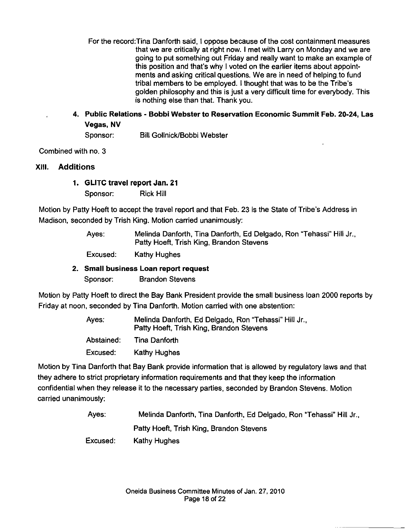- For the record:Tina Danforth said, I oppose because of the cost containment measures that we are critically at right now. I met with Larry on Monday and we are going to put something out Friday and really want to make an example of this position and that's why I voted on the earlier items about appointments and asking critical questions. We are in need of helping. to fund tribal members to be employed. I thought that was to be the Tribe's golden philosophy and this is just a very difficult time for everybody. This is nothing else than that. Thank you.
- 4. Public Relations Bobbi Webster to Reservation Economic Summit Feb. 20-24, Las Vegas, NV

Sponsor: Bill Gollnick/Bobbi Webster

Combined with no. 3

## XIII. Additions

## 1. GLITC travel report Jan. 21

Sponsor: Rick Hill

Motion by Patty Hoeft to accept the travel report and that Feb. 23 is the State of Tribe's Address in Madison, seconded by Trish King. Motion carried unanimously:

> Ayes: Melinda Danforth, Tina Danforth, Ed Delgado, Ron "Tehassi" Hill Jr., Patty Hoeft, Trish King, Brandon Stevens

Excused: Kathy Hughes

## 2. Small business Loan report request

Sponsor: Brandon Stevens

Motion by Patty Hoeft to direct the Bay Bank President provide the small business loan 2000 reports by Friday at noon, seconded by Tina Danforth. Motion carried with one abstention:

> Ayes: Abstained: Excused: Melinda Danforth, Ed Delgado, Ron "Tehassi" Hill Jr., Patty Hoeft, Trish King, Brandon Stevens Tina Danforth Kathy Hughes

Motion by Tina Danforth that Bay Bank provide information that is allowed by regulatory laws and that they adhere to strict proprietary information requirements and that they keep the information confidential when they release it to the necessary parties, seconded by Brandon Stevens. Motion carried unanimously:

> Ayes: Melinda Danforth, Tina Danforth, Ed Delgado, Ron "Tehassi" Hill Jr., Patty Hoeft, Trish King, Brandon Stevens

Excused: Kathy Hughes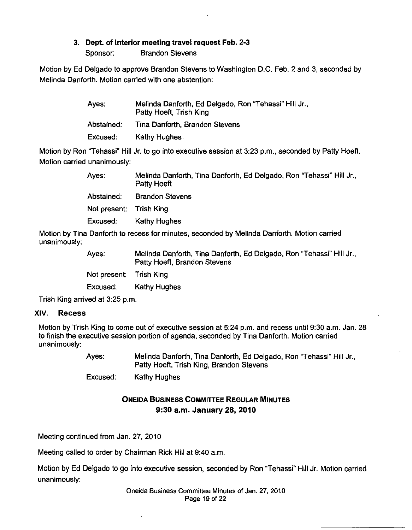#### 3. Dept. of Interior meeting travel request Feb. 2·3

Sponsor: Brandon Stevens

Motion by Ed Delgado to approve Brandon Stevens to Washington D.C. Feb. 2 and 3, seconded by Melinda Danforth. Motion carried with one abstention:

| Ayes.      | Melinda Danforth, Ed Delgado, Ron "Tehassi" Hill Jr.,<br>Patty Hoeft, Trish King |
|------------|----------------------------------------------------------------------------------|
| Abstained: | Tina Danforth, Brandon Stevens                                                   |
| Excused:   | Kathy Hughes                                                                     |

Motion by Ron "Tehassi" Hill Jr. to go into executive session at 3:23 p.m., seconded by Patty Hoeft. Motion carried unanimously:

| Ayes:                   | Melinda Danforth, Tina Danforth, Ed Delgado, Ron "Tehassi" Hill Jr.,<br>Patty Hoeft            |
|-------------------------|------------------------------------------------------------------------------------------------|
| Abstained:              | <b>Brandon Stevens</b>                                                                         |
| Not present: Trish King |                                                                                                |
| Excused:                | <b>Kathy Hughes</b>                                                                            |
|                         | . Den fantiske bestede formelig it de een de sted tot kildige de Dan fantisk skildere een daal |

Motion by Tina Danforth to recess for minutes, seconded by Melinda Danforth. Motion carried unanimously:

| Ayes:                   | Melinda Danforth, Tina Danforth, Ed Delgado, Ron "Tehassi" Hill Jr.,<br>Patty Hoeft, Brandon Stevens |
|-------------------------|------------------------------------------------------------------------------------------------------|
| Not present: Trish King |                                                                                                      |
| Excused:                | <b>Kathy Hughes</b>                                                                                  |

Trish King arrived at 3:25 p.m.

#### XIV. Recess

Motion by Trish King to come out of executive session at 5:24 p.m. and recess until 9:30 a.m. Jan. 28 to finish the executive session portion of agenda, seconded by Tina Danforth. Motion carried unanimously:

> Ayes: Melinda Danforth, Tina Danforth, Ed Delgado, Ron "Tehassi" Hill Jr., Patty Hoeft, Trish King, Brandon Stevens

Excused: Kathy Hughes

# ONEIDA BUSINESS COMMITTEE REGULAR MINUTES 9:30a.m. January 28, 2010

Meeting continued from Jan. 27, 2010

Meeting called to order by Chairman Rick Hill at 9:40 a.m.

Motion by Ed Delgado to go into executive session, seconded by Ron "Tehassi" Hill Jr. Motion carried unanimously:

> Oneida Business Committee Minutes of Jan. 27, 2010 Page 19 of 22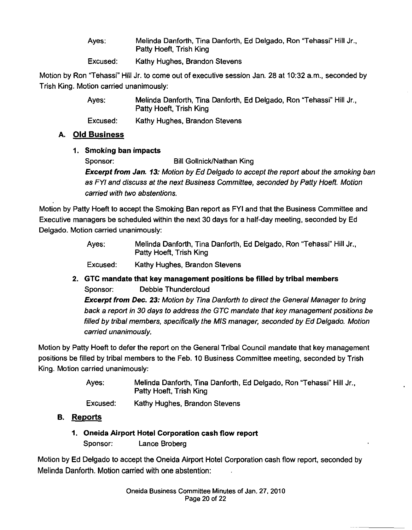| Ayes: | Melinda Danforth, Tina Danforth, Ed Delgado, Ron "Tehassi" Hill Jr.,<br>Patty Hoeft, Trish King |
|-------|-------------------------------------------------------------------------------------------------|
|       |                                                                                                 |

Excused: Kathy Hughes, Brandon Stevens

Motion by Ron "Tehassi" Hill Jr. to come out of executive session Jan. 28 at 10:32 a.m., seconded by Trish King. Motion carried unanimously:

| Ayes:     | Melinda Danforth, Tina Danforth, Ed Delgado, Ron "Tehassi" Hill Jr.,<br>Patty Hoeft, Trish King |
|-----------|-------------------------------------------------------------------------------------------------|
| Evaussed: | Kothu Uushee, Deseden Cteuses                                                                   |

Excused: Kathy Hughes, Brandon Stevens

# **A. Old Business**

# **1. Smoking ban impacts**

Sponsor: Bill Gollnick/Nathan King **Excerpt from Jan. 13:** Motion by Ed Delgado to accept the report about the smoking ban as FYI and discuss at the next Business Committee, seconded by Patty Hoeft. Motion carried with two abstentions.

Motion by Patty Hoeft to accept the Smoking Ban report as FYI and that the Business Committee and Executive managers be scheduled within the next 30 days for a half-day meeting, seconded by Ed Delgado. Motion carried unanimously:

> Ayes: Melinda Danforth, Tina Danforth, Ed Delgado, Ron "Tehassi" Hill Jr., Patty Hoeft, Trish King

Excused: Kathy Hughes, Brandon Stevens

**2. GTC mandate that key management positions be filled by tribal members**  Sponsor: Debbie Thundercloud

**Excerpt from Dec.** *23:* Motion by Tina Danforth to direct the General Manager to bring back a report in 30 days to address the GTC mandate that key management positions be filled by tribal members, specifically the MIS manager, seconded by Ed Delgado. Motion carried unanimously.

Motion by Patty Hoeft to defer the report on the General Tribal Council mandate that key management positions be filled by tribal members to the Feb. 10 Business Committee meeting, seconded by Trish King. Motion carried unanimously:

> Ayes: Melinda Danforth, Tina Danforth, Ed Delgado, Ron "Tehassi" Hill Jr., Patty Hoeft, Trish King

Excused: Kathy Hughes, Brandon Stevens

- **B. Reports** 
	- **1. Oneida Airport Hotel Corporation cash flow report**  Sponsor: Lance Broberg

Motion by Ed Delgado to accept the Oneida Airport Hotel Corporation cash flow report, seconded by Melinda Danforth. Motion carried with one abstention: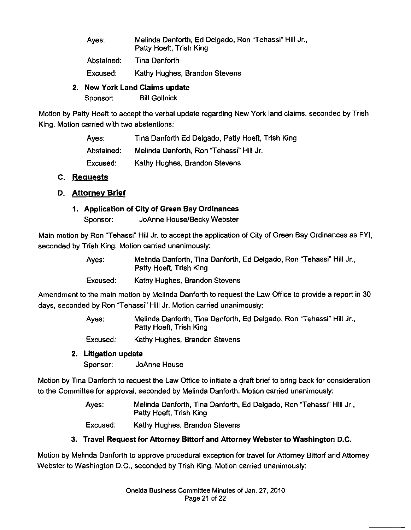| Ayes: | Melinda Danforth, Ed Delgado, Ron "Tehassi" Hill Jr., |
|-------|-------------------------------------------------------|
|       | Patty Hoeft, Trish King                               |

Abstained: Tina Danforth

Excused: Kathy Hughes, Brandon Stevens

## **2. New York Land Claims update**

Sponsor: Bill Gollnick

Motion by Patty Hoeft to accept the verbal update regarding New York land claims, seconded by Trish King. Motion carried with two abstentions:

> Ayes: Abstained: Excused: Tina Danforth Ed Delgado, Patty Hoeft, Trish King Melinda Danforth, Ron "Tehassi" Hill Jr. Kathy Hughes, Brandon Stevens

## **C. Requests**

# **D. Attorney Brief**

# **1. Application of City of Green Bay Ordinances**

Sponsor: JoAnne House/Becky Webster

Main motion by Ron ''Tehassi" Hill Jr. to accept the application of City of Green Bay Ordinances as FYI, seconded by Trish King. Motion carried unanimously:

| Ayes:    | Melinda Danforth, Tina Danforth, Ed Delgado, Ron "Tehassi" Hill Jr.,<br>Patty Hoeft, Trish King |
|----------|-------------------------------------------------------------------------------------------------|
| Excused: | Kathy Hughes, Brandon Stevens                                                                   |

Amendment to the main motion by Melinda Danforth to request the Law Office to provide a report in 30 days, seconded by Ron "Tehassi" Hill Jr. Motion carried unanimously:

> Ayes: Melinda Danforth, Tina Danforth, Ed Delgado, Ron "Tehassi" Hill Jr., Patty Hoeft, Trish King

Excused: Kathy Hughes, Brandon Stevens

# **2. Litigation update**

Sponsor: JoAnne House

Motion by Tina Danforth to request the Law Office to initiate a draft brief to bring back for consideration to the Committee for approval, seconded by Melinda Danforth. Motion carried unanimously:

> Ayes: Melinda Danforth, Tina Danforth, Ed Delgado, Ron "Tehassi" Hill Jr., Patty Hoeft, Trish King

Excused: Kathy Hughes, Brandon Stevens

# **3. Travel Request for Attorney Bittorf and Attorney Webster to Washington D.C.**

Motion by Melinda Danforth to approve procedural exception for travel for Attorney Bittorf and Attorney Webster to Washington D.C., seconded by Trish King. Motion carried unanimously: